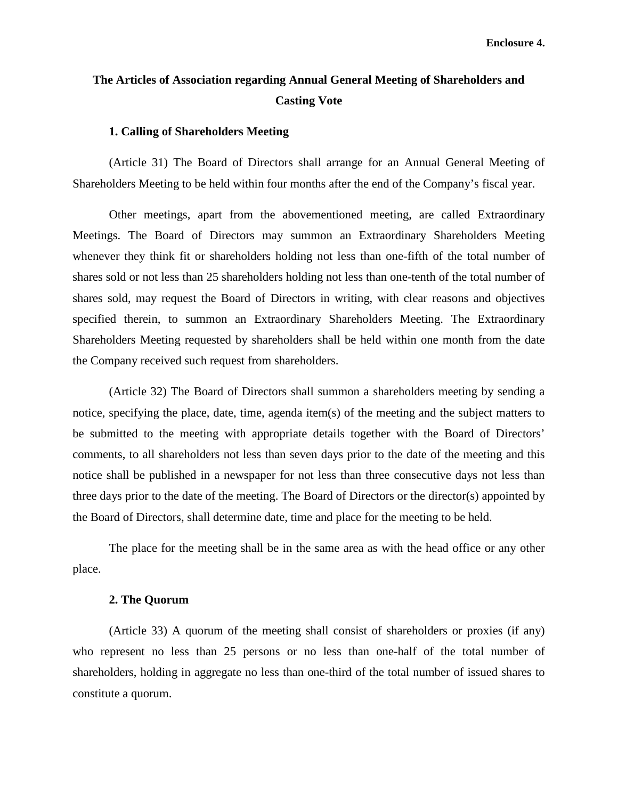# **The Articles of Association regarding Annual General Meeting of Shareholders and Casting Vote**

#### **1. Calling of Shareholders Meeting**

(Article 31) The Board of Directors shall arrange for an Annual General Meeting of Shareholders Meeting to be held within four months after the end of the Company's fiscal year.

Other meetings, apart from the abovementioned meeting, are called Extraordinary Meetings. The Board of Directors may summon an Extraordinary Shareholders Meeting whenever they think fit or shareholders holding not less than one-fifth of the total number of shares sold or not less than 25 shareholders holding not less than one-tenth of the total number of shares sold, may request the Board of Directors in writing, with clear reasons and objectives specified therein, to summon an Extraordinary Shareholders Meeting. The Extraordinary Shareholders Meeting requested by shareholders shall be held within one month from the date the Company received such request from shareholders.

(Article 32) The Board of Directors shall summon a shareholders meeting by sending a notice, specifying the place, date, time, agenda item(s) of the meeting and the subject matters to be submitted to the meeting with appropriate details together with the Board of Directors' comments, to all shareholders not less than seven days prior to the date of the meeting and this notice shall be published in a newspaper for not less than three consecutive days not less than three days prior to the date of the meeting. The Board of Directors or the director(s) appointed by the Board of Directors, shall determine date, time and place for the meeting to be held.

The place for the meeting shall be in the same area as with the head office or any other place.

### **2. The Quorum**

(Article 33) A quorum of the meeting shall consist of shareholders or proxies (if any) who represent no less than 25 persons or no less than one-half of the total number of shareholders, holding in aggregate no less than one-third of the total number of issued shares to constitute a quorum.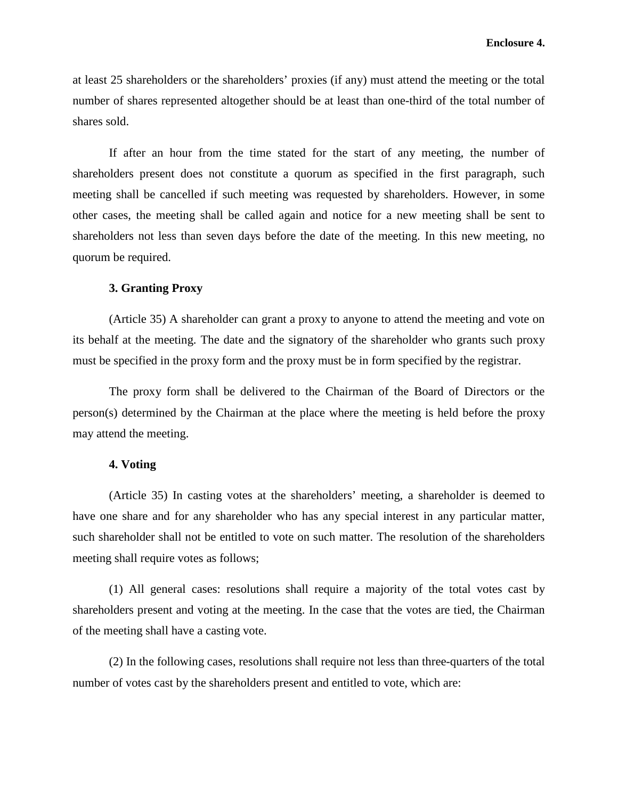at least 25 shareholders or the shareholders' proxies (if any) must attend the meeting or the total number of shares represented altogether should be at least than one-third of the total number of shares sold.

If after an hour from the time stated for the start of any meeting, the number of shareholders present does not constitute a quorum as specified in the first paragraph, such meeting shall be cancelled if such meeting was requested by shareholders. However, in some other cases, the meeting shall be called again and notice for a new meeting shall be sent to shareholders not less than seven days before the date of the meeting. In this new meeting, no quorum be required.

### **3. Granting Proxy**

(Article 35) A shareholder can grant a proxy to anyone to attend the meeting and vote on its behalf at the meeting. The date and the signatory of the shareholder who grants such proxy must be specified in the proxy form and the proxy must be in form specified by the registrar.

The proxy form shall be delivered to the Chairman of the Board of Directors or the person(s) determined by the Chairman at the place where the meeting is held before the proxy may attend the meeting.

#### **4. Voting**

(Article 35) In casting votes at the shareholders' meeting, a shareholder is deemed to have one share and for any shareholder who has any special interest in any particular matter, such shareholder shall not be entitled to vote on such matter. The resolution of the shareholders meeting shall require votes as follows;

(1) All general cases: resolutions shall require a majority of the total votes cast by shareholders present and voting at the meeting. In the case that the votes are tied, the Chairman of the meeting shall have a casting vote.

(2) In the following cases, resolutions shall require not less than three-quarters of the total number of votes cast by the shareholders present and entitled to vote, which are: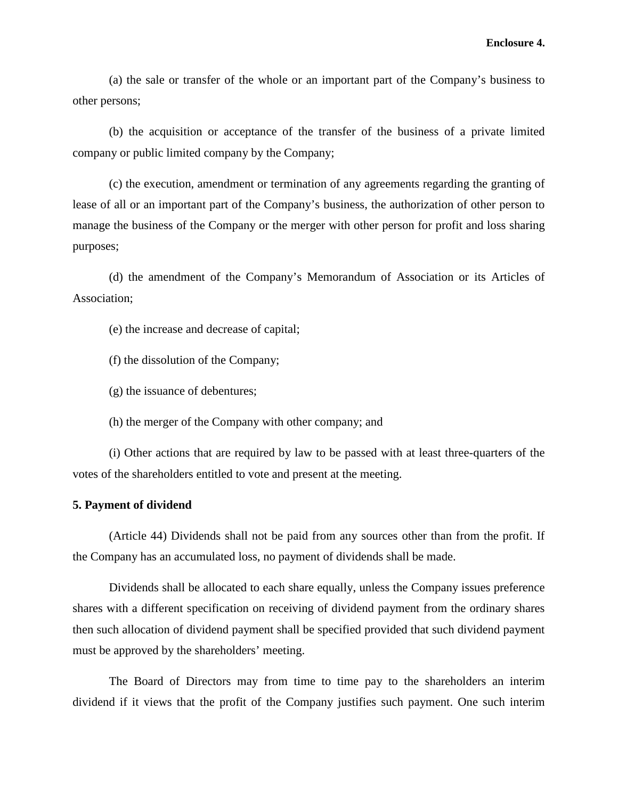(a) the sale or transfer of the whole or an important part of the Company's business to other persons;

(b) the acquisition or acceptance of the transfer of the business of a private limited company or public limited company by the Company;

(c) the execution, amendment or termination of any agreements regarding the granting of lease of all or an important part of the Company's business, the authorization of other person to manage the business of the Company or the merger with other person for profit and loss sharing purposes;

(d) the amendment of the Company's Memorandum of Association or its Articles of Association;

(e) the increase and decrease of capital;

(f) the dissolution of the Company;

(g) the issuance of debentures;

(h) the merger of the Company with other company; and

(i) Other actions that are required by law to be passed with at least three-quarters of the votes of the shareholders entitled to vote and present at the meeting.

## **5. Payment of dividend**

(Article 44) Dividends shall not be paid from any sources other than from the profit. If the Company has an accumulated loss, no payment of dividends shall be made.

Dividends shall be allocated to each share equally, unless the Company issues preference shares with a different specification on receiving of dividend payment from the ordinary shares then such allocation of dividend payment shall be specified provided that such dividend payment must be approved by the shareholders' meeting.

The Board of Directors may from time to time pay to the shareholders an interim dividend if it views that the profit of the Company justifies such payment. One such interim